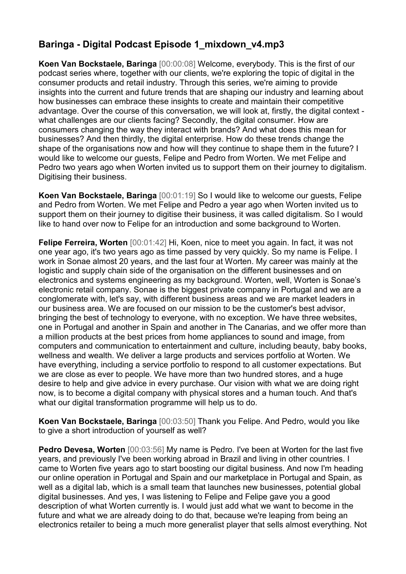## **Baringa - Digital Podcast Episode 1\_mixdown\_v4.mp3**

**Koen Van Bockstaele, Baringa** [00:00:08] Welcome, everybody. This is the first of our podcast series where, together with our clients, we're exploring the topic of digital in the consumer products and retail industry. Through this series, we're aiming to provide insights into the current and future trends that are shaping our industry and learning about how businesses can embrace these insights to create and maintain their competitive advantage. Over the course of this conversation, we will look at, firstly, the digital context what challenges are our clients facing? Secondly, the digital consumer. How are consumers changing the way they interact with brands? And what does this mean for businesses? And then thirdly, the digital enterprise. How do these trends change the shape of the organisations now and how will they continue to shape them in the future? I would like to welcome our guests, Felipe and Pedro from Worten. We met Felipe and Pedro two years ago when Worten invited us to support them on their journey to digitalism. Digitising their business.

**Koen Van Bockstaele, Baringa** [00:01:19] So I would like to welcome our guests, Felipe and Pedro from Worten. We met Felipe and Pedro a year ago when Worten invited us to support them on their journey to digitise their business, it was called digitalism. So I would like to hand over now to Felipe for an introduction and some background to Worten.

**Felipe Ferreira, Worten** [00:01:42] Hi, Koen, nice to meet you again. In fact, it was not one year ago, it's two years ago as time passed by very quickly. So my name is Felipe. I work in Sonae almost 20 years, and the last four at Worten. My career was mainly at the logistic and supply chain side of the organisation on the different businesses and on electronics and systems engineering as my background. Worten, well, Worten is Sonae's electronic retail company. Sonae is the biggest private company in Portugal and we are a conglomerate with, let's say, with different business areas and we are market leaders in our business area. We are focused on our mission to be the customer's best advisor, bringing the best of technology to everyone, with no exception. We have three websites, one in Portugal and another in Spain and another in The Canarias, and we offer more than a million products at the best prices from home appliances to sound and image, from computers and communication to entertainment and culture, including beauty, baby books, wellness and wealth. We deliver a large products and services portfolio at Worten. We have everything, including a service portfolio to respond to all customer expectations. But we are close as ever to people. We have more than two hundred stores, and a huge desire to help and give advice in every purchase. Our vision with what we are doing right now, is to become a digital company with physical stores and a human touch. And that's what our digital transformation programme will help us to do.

**Koen Van Bockstaele, Baringa** [00:03:50] Thank you Felipe. And Pedro, would you like to give a short introduction of yourself as well?

**Pedro Devesa, Worten** [00:03:56] My name is Pedro. I've been at Worten for the last five years, and previously I've been working abroad in Brazil and living in other countries. I came to Worten five years ago to start boosting our digital business. And now I'm heading our online operation in Portugal and Spain and our marketplace in Portugal and Spain, as well as a digital lab, which is a small team that launches new businesses, potential global digital businesses. And yes, I was listening to Felipe and Felipe gave you a good description of what Worten currently is. I would just add what we want to become in the future and what we are already doing to do that, because we're leaping from being an electronics retailer to being a much more generalist player that sells almost everything. Not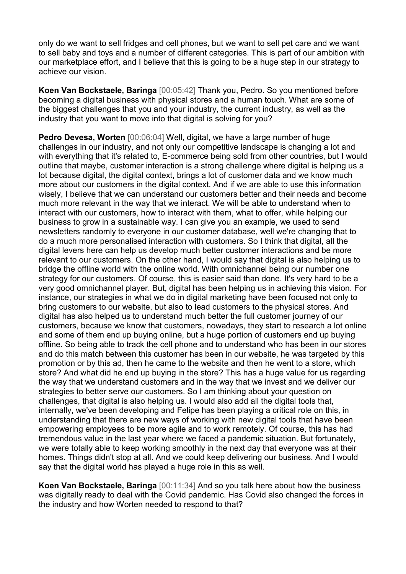only do we want to sell fridges and cell phones, but we want to sell pet care and we want to sell baby and toys and a number of different categories. This is part of our ambition with our marketplace effort, and I believe that this is going to be a huge step in our strategy to achieve our vision.

**Koen Van Bockstaele, Baringa** [00:05:42] Thank you, Pedro. So you mentioned before becoming a digital business with physical stores and a human touch. What are some of the biggest challenges that you and your industry, the current industry, as well as the industry that you want to move into that digital is solving for you?

**Pedro Devesa, Worten** [00:06:04] Well, digital, we have a large number of huge challenges in our industry, and not only our competitive landscape is changing a lot and with everything that it's related to, E-commerce being sold from other countries, but I would outline that maybe, customer interaction is a strong challenge where digital is helping us a lot because digital, the digital context, brings a lot of customer data and we know much more about our customers in the digital context. And if we are able to use this information wisely, I believe that we can understand our customers better and their needs and become much more relevant in the way that we interact. We will be able to understand when to interact with our customers, how to interact with them, what to offer, while helping our business to grow in a sustainable way. I can give you an example, we used to send newsletters randomly to everyone in our customer database, well we're changing that to do a much more personalised interaction with customers. So I think that digital, all the digital levers here can help us develop much better customer interactions and be more relevant to our customers. On the other hand, I would say that digital is also helping us to bridge the offline world with the online world. With omnichannel being our number one strategy for our customers. Of course, this is easier said than done. It's very hard to be a very good omnichannel player. But, digital has been helping us in achieving this vision. For instance, our strategies in what we do in digital marketing have been focused not only to bring customers to our website, but also to lead customers to the physical stores. And digital has also helped us to understand much better the full customer journey of our customers, because we know that customers, nowadays, they start to research a lot online and some of them end up buying online, but a huge portion of customers end up buying offline. So being able to track the cell phone and to understand who has been in our stores and do this match between this customer has been in our website, he was targeted by this promotion or by this ad, then he came to the website and then he went to a store, which store? And what did he end up buying in the store? This has a huge value for us regarding the way that we understand customers and in the way that we invest and we deliver our strategies to better serve our customers. So I am thinking about your question on challenges, that digital is also helping us. I would also add all the digital tools that, internally, we've been developing and Felipe has been playing a critical role on this, in understanding that there are new ways of working with new digital tools that have been empowering employees to be more agile and to work remotely. Of course, this has had tremendous value in the last year where we faced a pandemic situation. But fortunately, we were totally able to keep working smoothly in the next day that everyone was at their homes. Things didn't stop at all. And we could keep delivering our business. And I would say that the digital world has played a huge role in this as well.

**Koen Van Bockstaele, Baringa** [00:11:34] And so you talk here about how the business was digitally ready to deal with the Covid pandemic. Has Covid also changed the forces in the industry and how Worten needed to respond to that?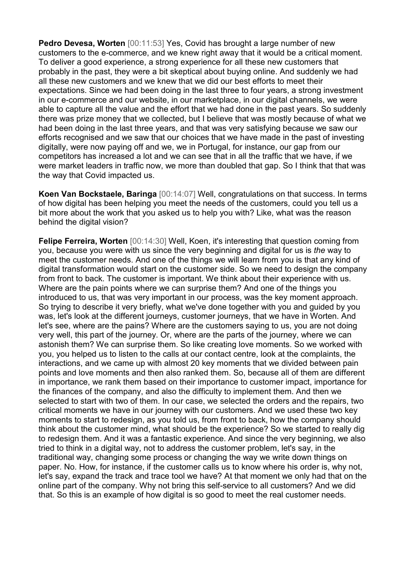**Pedro Devesa, Worten** [00:11:53] Yes, Covid has brought a large number of new customers to the e-commerce, and we knew right away that it would be a critical moment. To deliver a good experience, a strong experience for all these new customers that probably in the past, they were a bit skeptical about buying online. And suddenly we had all these new customers and we knew that we did our best efforts to meet their expectations. Since we had been doing in the last three to four years, a strong investment in our e-commerce and our website, in our marketplace, in our digital channels, we were able to capture all the value and the effort that we had done in the past years. So suddenly there was prize money that we collected, but I believe that was mostly because of what we had been doing in the last three years, and that was very satisfying because we saw our efforts recognised and we saw that our choices that we have made in the past of investing digitally, were now paying off and we, we in Portugal, for instance, our gap from our competitors has increased a lot and we can see that in all the traffic that we have, if we were market leaders in traffic now, we more than doubled that gap. So I think that that was the way that Covid impacted us.

**Koen Van Bockstaele, Baringa** [00:14:07] Well, congratulations on that success. In terms of how digital has been helping you meet the needs of the customers, could you tell us a bit more about the work that you asked us to help you with? Like, what was the reason behind the digital vision?

**Felipe Ferreira, Worten** [00:14:30] Well, Koen, it's interesting that question coming from you, because you were with us since the very beginning and digital for us is *the* way to meet the customer needs. And one of the things we will learn from you is that any kind of digital transformation would start on the customer side. So we need to design the company from front to back. The customer is important. We think about their experience with us. Where are the pain points where we can surprise them? And one of the things you introduced to us, that was very important in our process, was the key moment approach. So trying to describe it very briefly, what we've done together with you and guided by you was, let's look at the different journeys, customer journeys, that we have in Worten. And let's see, where are the pains? Where are the customers saying to us, you are not doing very well, this part of the journey. Or, where are the parts of the journey, where we can astonish them? We can surprise them. So like creating love moments. So we worked with you, you helped us to listen to the calls at our contact centre, look at the complaints, the interactions, and we came up with almost 20 key moments that we divided between pain points and love moments and then also ranked them. So, because all of them are different in importance, we rank them based on their importance to customer impact, importance for the finances of the company, and also the difficulty to implement them. And then we selected to start with two of them. In our case, we selected the orders and the repairs, two critical moments we have in our journey with our customers. And we used these two key moments to start to redesign, as you told us, from front to back, how the company should think about the customer mind, what should be the experience? So we started to really dig to redesign them. And it was a fantastic experience. And since the very beginning, we also tried to think in a digital way, not to address the customer problem, let's say, in the traditional way, changing some process or changing the way we write down things on paper. No. How, for instance, if the customer calls us to know where his order is, why not, let's say, expand the track and trace tool we have? At that moment we only had that on the online part of the company. Why not bring this self-service to all customers? And we did that. So this is an example of how digital is so good to meet the real customer needs.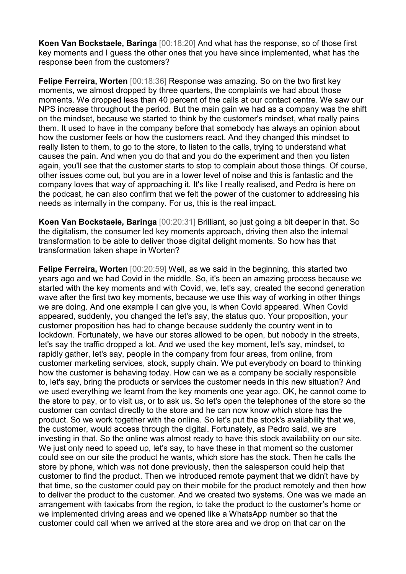**Koen Van Bockstaele, Baringa** [00:18:20] And what has the response, so of those first key moments and I guess the other ones that you have since implemented, what has the response been from the customers?

**Felipe Ferreira, Worten** [00:18:36] Response was amazing. So on the two first key moments, we almost dropped by three quarters, the complaints we had about those moments. We dropped less than 40 percent of the calls at our contact centre. We saw our NPS increase throughout the period. But the main gain we had as a company was the shift on the mindset, because we started to think by the customer's mindset, what really pains them. It used to have in the company before that somebody has always an opinion about how the customer feels or how the customers react. And they changed this mindset to really listen to them, to go to the store, to listen to the calls, trying to understand what causes the pain. And when you do that and you do the experiment and then you listen again, you'll see that the customer starts to stop to complain about those things. Of course, other issues come out, but you are in a lower level of noise and this is fantastic and the company loves that way of approaching it. It's like I really realised, and Pedro is here on the podcast, he can also confirm that we felt the power of the customer to addressing his needs as internally in the company. For us, this is the real impact.

**Koen Van Bockstaele, Baringa** [00:20:31] Brilliant, so just going a bit deeper in that. So the digitalism, the consumer led key moments approach, driving then also the internal transformation to be able to deliver those digital delight moments. So how has that transformation taken shape in Worten?

**Felipe Ferreira, Worten** [00:20:59] Well, as we said in the beginning, this started two years ago and we had Covid in the middle. So, it's been an amazing process because we started with the key moments and with Covid, we, let's say, created the second generation wave after the first two key moments, because we use this way of working in other things we are doing. And one example I can give you, is when Covid appeared. When Covid appeared, suddenly, you changed the let's say, the status quo. Your proposition, your customer proposition has had to change because suddenly the country went in to lockdown. Fortunately, we have our stores allowed to be open, but nobody in the streets, let's say the traffic dropped a lot. And we used the key moment, let's say, mindset, to rapidly gather, let's say, people in the company from four areas, from online, from customer marketing services, stock, supply chain. We put everybody on board to thinking how the customer is behaving today. How can we as a company be socially responsible to, let's say, bring the products or services the customer needs in this new situation? And we used everything we learnt from the key moments one year ago. OK, he cannot come to the store to pay, or to visit us, or to ask us. So let's open the telephones of the store so the customer can contact directly to the store and he can now know which store has the product. So we work together with the online. So let's put the stock's availability that we, the customer, would access through the digital. Fortunately, as Pedro said, we are investing in that. So the online was almost ready to have this stock availability on our site. We just only need to speed up, let's say, to have these in that moment so the customer could see on our site the product he wants, which store has the stock. Then he calls the store by phone, which was not done previously, then the salesperson could help that customer to find the product. Then we introduced remote payment that we didn't have by that time, so the customer could pay on their mobile for the product remotely and then how to deliver the product to the customer. And we created two systems. One was we made an arrangement with taxicabs from the region, to take the product to the customer's home or we implemented driving areas and we opened like a WhatsApp number so that the customer could call when we arrived at the store area and we drop on that car on the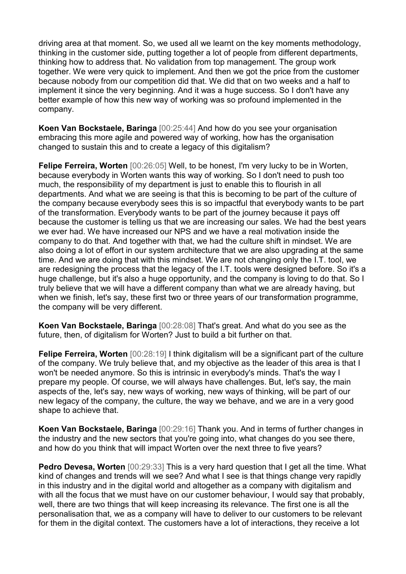driving area at that moment. So, we used all we learnt on the key moments methodology, thinking in the customer side, putting together a lot of people from different departments, thinking how to address that. No validation from top management. The group work together. We were very quick to implement. And then we got the price from the customer because nobody from our competition did that. We did that on two weeks and a half to implement it since the very beginning. And it was a huge success. So I don't have any better example of how this new way of working was so profound implemented in the company.

**Koen Van Bockstaele, Baringa** [00:25:44] And how do you see your organisation embracing this more agile and powered way of working, how has the organisation changed to sustain this and to create a legacy of this digitalism?

**Felipe Ferreira, Worten** [00:26:05] Well, to be honest, I'm very lucky to be in Worten, because everybody in Worten wants this way of working. So I don't need to push too much, the responsibility of my department is just to enable this to flourish in all departments. And what we are seeing is that this is becoming to be part of the culture of the company because everybody sees this is so impactful that everybody wants to be part of the transformation. Everybody wants to be part of the journey because it pays off because the customer is telling us that we are increasing our sales. We had the best years we ever had. We have increased our NPS and we have a real motivation inside the company to do that. And together with that, we had the culture shift in mindset. We are also doing a lot of effort in our system architecture that we are also upgrading at the same time. And we are doing that with this mindset. We are not changing only the I.T. tool, we are redesigning the process that the legacy of the I.T. tools were designed before. So it's a huge challenge, but it's also a huge opportunity, and the company is loving to do that. So I truly believe that we will have a different company than what we are already having, but when we finish, let's say, these first two or three years of our transformation programme, the company will be very different.

**Koen Van Bockstaele, Baringa** [00:28:08] That's great. And what do you see as the future, then, of digitalism for Worten? Just to build a bit further on that.

**Felipe Ferreira, Worten** [00:28:19] I think digitalism will be a significant part of the culture of the company. We truly believe that, and my objective as the leader of this area is that I won't be needed anymore. So this is intrinsic in everybody's minds. That's the way I prepare my people. Of course, we will always have challenges. But, let's say, the main aspects of the, let's say, new ways of working, new ways of thinking, will be part of our new legacy of the company, the culture, the way we behave, and we are in a very good shape to achieve that.

**Koen Van Bockstaele, Baringa** [00:29:16] Thank you. And in terms of further changes in the industry and the new sectors that you're going into, what changes do you see there, and how do you think that will impact Worten over the next three to five years?

**Pedro Devesa, Worten** [00:29:33] This is a very hard question that I get all the time. What kind of changes and trends will we see? And what I see is that things change very rapidly in this industry and in the digital world and altogether as a company with digitalism and with all the focus that we must have on our customer behaviour, I would say that probably, well, there are two things that will keep increasing its relevance. The first one is all the personalisation that, we as a company will have to deliver to our customers to be relevant for them in the digital context. The customers have a lot of interactions, they receive a lot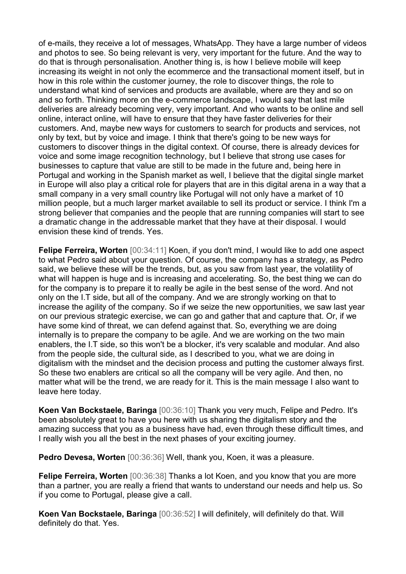of e-mails, they receive a lot of messages, WhatsApp. They have a large number of videos and photos to see. So being relevant is very, very important for the future. And the way to do that is through personalisation. Another thing is, is how I believe mobile will keep increasing its weight in not only the ecommerce and the transactional moment itself, but in how in this role within the customer journey, the role to discover things, the role to understand what kind of services and products are available, where are they and so on and so forth. Thinking more on the e-commerce landscape, I would say that last mile deliveries are already becoming very, very important. And who wants to be online and sell online, interact online, will have to ensure that they have faster deliveries for their customers. And, maybe new ways for customers to search for products and services, not only by text, but by voice and image. I think that there's going to be new ways for customers to discover things in the digital context. Of course, there is already devices for voice and some image recognition technology, but I believe that strong use cases for businesses to capture that value are still to be made in the future and, being here in Portugal and working in the Spanish market as well, I believe that the digital single market in Europe will also play a critical role for players that are in this digital arena in a way that a small company in a very small country like Portugal will not only have a market of 10 million people, but a much larger market available to sell its product or service. I think I'm a strong believer that companies and the people that are running companies will start to see a dramatic change in the addressable market that they have at their disposal. I would envision these kind of trends. Yes.

**Felipe Ferreira, Worten** [00:34:11] Koen, if you don't mind, I would like to add one aspect to what Pedro said about your question. Of course, the company has a strategy, as Pedro said, we believe these will be the trends, but, as you saw from last year, the volatility of what will happen is huge and is increasing and accelerating. So, the best thing we can do for the company is to prepare it to really be agile in the best sense of the word. And not only on the I.T side, but all of the company. And we are strongly working on that to increase the agility of the company. So if we seize the new opportunities, we saw last year on our previous strategic exercise, we can go and gather that and capture that. Or, if we have some kind of threat, we can defend against that. So, everything we are doing internally is to prepare the company to be agile. And we are working on the two main enablers, the I.T side, so this won't be a blocker, it's very scalable and modular. And also from the people side, the cultural side, as I described to you, what we are doing in digitalism with the mindset and the decision process and putting the customer always first. So these two enablers are critical so all the company will be very agile. And then, no matter what will be the trend, we are ready for it. This is the main message I also want to leave here today.

**Koen Van Bockstaele, Baringa** [00:36:10] Thank you very much, Felipe and Pedro. It's been absolutely great to have you here with us sharing the digitalism story and the amazing success that you as a business have had, even through these difficult times, and I really wish you all the best in the next phases of your exciting journey.

**Pedro Devesa, Worten** [00:36:36] Well, thank you, Koen, it was a pleasure.

**Felipe Ferreira, Worten** [00:36:38] Thanks a lot Koen, and you know that you are more than a partner, you are really a friend that wants to understand our needs and help us. So if you come to Portugal, please give a call.

**Koen Van Bockstaele, Baringa** [00:36:52] I will definitely, will definitely do that. Will definitely do that. Yes.